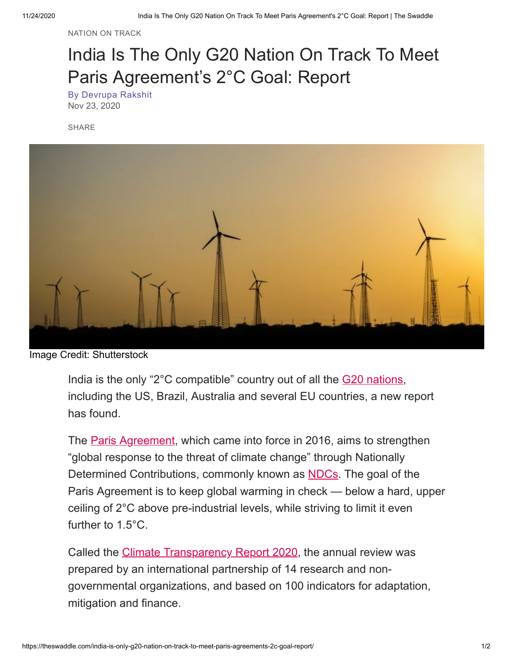[NATION](https://theswaddle.com/tag/nation-on-track/) ON TRACK

## India Is The Only G20 Nation On Track To Meet Paris Agreement's 2°C Goal: Report

By [Devrupa](https://theswaddle.com/author/devrupa/) Rakshit Nov 23, 2020

SHARE



Image Credit: Shutterstock

India is the only "2°C compatible" country out of all the [G20 nations](https://www.dfat.gov.au/trade/organisations/g20/Pages/g20), including the US, Brazil, Australia and several EU countries, a new report has found.

The **Paris Agreement**, which came into force in 2016, aims to strengthen "global response to the threat of climate change" through Nationally Determined Contributions, commonly known as [NDCs.](https://unfccc.int/focus/ndc_registry/items/9433.php) The goal of the Paris Agreement is to keep global warming in check — below a hard, upper ceiling of 2°C above pre-industrial levels, while striving to limit it even further to 1.5°C.

Called the *[Climate Transparency Report 2020](https://www.climate-transparency.org/g20-climate-performance/the-climate-transparency-report-2020#1531904263713-04b62b8d-e708)*, the annual review was prepared by an international partnership of 14 research and nongovernmental organizations, and based on 100 indicators for adaptation, mitigation and finance.